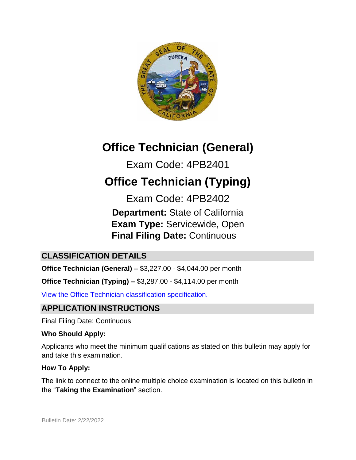

# **Office Technician (General)**

Exam Code: 4PB2401

# **Office Technician (Typing)**

Exam Code: 4PB2402 **Department:** State of California **Exam Type:** Servicewide, Open  **Final Filing Date:** Continuous

# **CLASSIFICATION DETAILS**

**Office Technician (General) –** \$3,227.00 - \$4,044.00 per month

**Office Technician (Typing) –** \$3,287.00 - \$4,114.00 per month

[View the Office Technician classification specification.](https://www.calhr.ca.gov/state-hr-professionals/pages/1441.aspx)

# **APPLICATION INSTRUCTIONS**

Final Filing Date: Continuous

## **Who Should Apply:**

Applicants who meet the minimum qualifications as stated on this bulletin may apply for and take this examination.

## **How To Apply:**

The link to connect to the online multiple choice examination is located on this bulletin in the "**Taking the Examination**" section.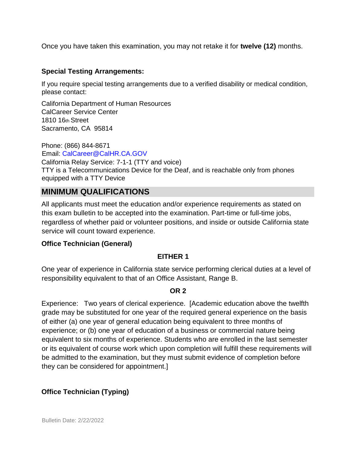Once you have taken this examination, you may not retake it for **twelve (12)** months.

#### **Special Testing Arrangements:**

If you require special testing arrangements due to a verified disability or medical condition, please contact:

California Department of Human Resources CalCareer Service Center 1810 16th Street Sacramento, CA 95814

Phone: (866) 844-8671 Email: CalCareer@CalHR.CA.GOV California Relay Service: 7-1-1 (TTY and voice) TTY is a Telecommunications Device for the Deaf, and is reachable only from phones equipped with a TTY Device

# **MINIMUM QUALIFICATIONS**

All applicants must meet the education and/or experience requirements as stated on this exam bulletin to be accepted into the examination. Part-time or full-time jobs, regardless of whether paid or volunteer positions, and inside or outside California state service will count toward experience.

#### **Office Technician (General)**

#### **EITHER 1**

One year of experience in California state service performing clerical duties at a level of responsibility equivalent to that of an Office Assistant, Range B.

#### **OR 2**

Experience: Two years of clerical experience. [Academic education above the twelfth grade may be substituted for one year of the required general experience on the basis of either (a) one year of general education being equivalent to three months of experience; or (b) one year of education of a business or commercial nature being equivalent to six months of experience. Students who are enrolled in the last semester or its equivalent of course work which upon completion will fulfill these requirements will be admitted to the examination, but they must submit evidence of completion before they can be considered for appointment.]

#### **Office Technician (Typing)**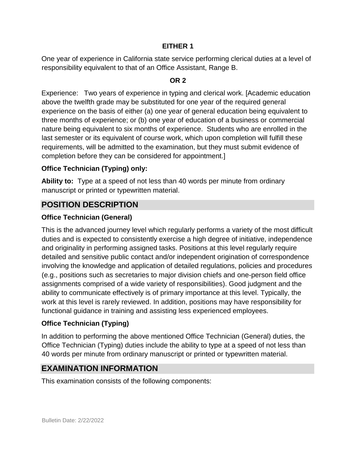#### **EITHER 1**

One year of experience in California state service performing clerical duties at a level of responsibility equivalent to that of an Office Assistant, Range B.

#### **OR 2**

Experience: Two years of experience in typing and clerical work. [Academic education above the twelfth grade may be substituted for one year of the required general experience on the basis of either (a) one year of general education being equivalent to three months of experience; or (b) one year of education of a business or commercial nature being equivalent to six months of experience. Students who are enrolled in the last semester or its equivalent of course work, which upon completion will fulfill these requirements, will be admitted to the examination, but they must submit evidence of completion before they can be considered for appointment.]

#### **Office Technician (Typing) only:**

**Ability to:** Type at a speed of not less than 40 words per minute from ordinary manuscript or printed or typewritten material.

#### **POSITION DESCRIPTION**

#### **Office Technician (General)**

This is the advanced journey level which regularly performs a variety of the most difficult duties and is expected to consistently exercise a high degree of initiative, independence and originality in performing assigned tasks. Positions at this level regularly require detailed and sensitive public contact and/or independent origination of correspondence involving the knowledge and application of detailed regulations, policies and procedures (e.g., positions such as secretaries to major division chiefs and one-person field office assignments comprised of a wide variety of responsibilities). Good judgment and the ability to communicate effectively is of primary importance at this level. Typically, the work at this level is rarely reviewed. In addition, positions may have responsibility for functional guidance in training and assisting less experienced employees.

#### **Office Technician (Typing)**

In addition to performing the above mentioned Office Technician (General) duties, the Office Technician (Typing) duties include the ability to type at a speed of not less than 40 words per minute from ordinary manuscript or printed or typewritten material.

# **EXAMINATION INFORMATION**

This examination consists of the following components: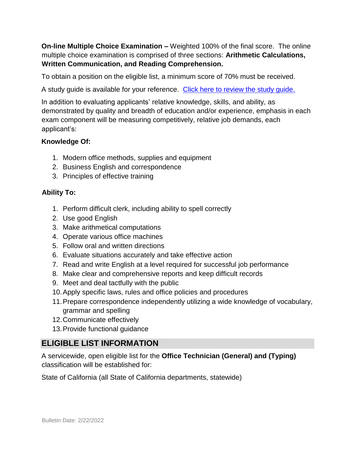**On-line Multiple Choice Examination –** Weighted 100% of the final score. The online multiple choice examination is comprised of three sections: **Arithmetic Calculations, Written Communication, and Reading Comprehension.** 

To obtain a position on the eligible list, a minimum score of 70% must be received.

A study guide is available for your reference. [Click here to review the study guide.](https://jobs.ca.gov/jobsgen/4pb24sg.pdf)

In addition to evaluating applicants' relative knowledge, skills, and ability, as demonstrated by quality and breadth of education and/or experience, emphasis in each exam component will be measuring competitively, relative job demands, each applicant's:

#### **Knowledge Of:**

- 1. Modern office methods, supplies and equipment
- 2. Business English and correspondence
- 3. Principles of effective training

#### **Ability To:**

- 1. Perform difficult clerk, including ability to spell correctly
- 2. Use good English
- 3. Make arithmetical computations
- 4. Operate various office machines
- 5. Follow oral and written directions
- 6. Evaluate situations accurately and take effective action
- 7. Read and write English at a level required for successful job performance
- 8. Make clear and comprehensive reports and keep difficult records
- 9. Meet and deal tactfully with the public
- 10.Apply specific laws, rules and office policies and procedures
- 11.Prepare correspondence independently utilizing a wide knowledge of vocabulary, grammar and spelling
- 12.Communicate effectively
- 13.Provide functional guidance

## **ELIGIBLE LIST INFORMATION**

A servicewide, open eligible list for the **Office Technician (General) and (Typing)** classification will be established for:

State of California (all State of California departments, statewide)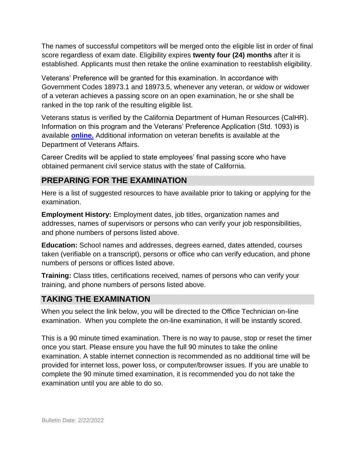The names of successful competitors will be merged onto the eligible list in order of final score regardless of exam date. Eligibility expires **twenty four (24) months** after it is established. Applicants must then retake the online examination to reestablish eligibility.

Veterans' Preference will be granted for this examination. In accordance with Government Codes 18973.1 and 18973.5, whenever any veteran, or widow or widower of a veteran achieves a passing score on an open examination, he or she shall be ranked in the top rank of the resulting eligible list.

Veterans status is verified by the California Department of Human Resources (CalHR). Information on this program and the Veterans' Preference Application (Std. 1093) is available **[online.](https://www.jobs.ca.gov/CalHRPublic/Landing/Jobs/VeteransInformation.aspx)** [A](https://www.jobs.ca.gov/CalHRPublic/Landing/Jobs/VeteransInformation.aspx)dditional information on veteran benefits is available at the Department of Veterans Affairs.

Career Credits will be applied to state employees' final passing score who have obtained permanent civil service status with the state of California.

## **PREPARING FOR THE EXAMINATION**

Here is a list of suggested resources to have available prior to taking or applying for the examination.

**Employment History:** Employment dates, job titles, organization names and addresses, names of supervisors or persons who can verify your job responsibilities, and phone numbers of persons listed above.

**Education:** School names and addresses, degrees earned, dates attended, courses taken (verifiable on a transcript), persons or office who can verify education, and phone numbers of persons or offices listed above.

**Training:** Class titles, certifications received, names of persons who can verify your training, and phone numbers of persons listed above.

# **TAKING THE EXAMINATION**

When you select the link below, you will be directed to the Office Technician on-line examination. When you complete the on-line examination, it will be instantly scored.

This is a 90 minute timed examination. There is no way to pause, stop or reset the timer once you start. Please ensure you have the full 90 minutes to take the online examination. A stable internet connection is recommended as no additional time will be provided for internet loss, power loss, or computer/browser issues. If you are unable to complete the 90 minute timed examination, it is recommended you do not take the examination until you are able to do so.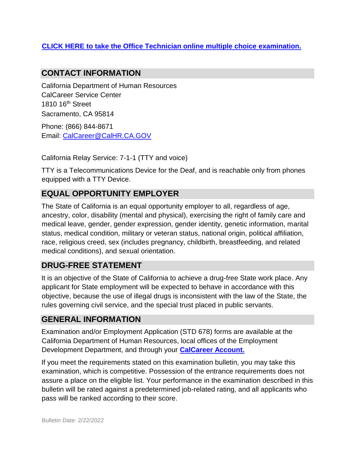#### **[CLICK HERE to take the Office Technician online multiple choice](https://www.jobs.ca.gov/Public/Login.aspx?ExamId=4PB2401) [examination.](https://www.jobs.ca.gov/Public/Login.aspx?ExamId=4PB2401)**

#### **CONTACT INFORMATION**

California Department of Human Resources CalCareer Service Center 1810 16th Street Sacramento, CA 95814

Phone: (866) 844-8671 Email: CalCareer@CalHR.CA.GOV

California Relay Service: 7-1-1 (TTY and voice)

TTY is a Telecommunications Device for the Deaf, and is reachable only from phones equipped with a TTY Device.

# **EQUAL OPPORTUNITY EMPLOYER**

The State of California is an equal opportunity employer to all, regardless of age, ancestry, color, disability (mental and physical), exercising the right of family care and medical leave, gender, gender expression, gender identity, genetic information, marital status, medical condition, military or veteran status, national origin, political affiliation, race, religious creed, sex (includes pregnancy, childbirth, breastfeeding, and related medical conditions), and sexual orientation.

# **DRUG-FREE STATEMENT**

It is an objective of the State of California to achieve a drug-free State work place. Any applicant for State employment will be expected to behave in accordance with this objective, because the use of illegal drugs is inconsistent with the law of the State, the rules governing civil service, and the special trust placed in public servants.

#### **GENERAL INFORMATION**

Examination and/or Employment Application (STD 678) forms are available at the California Department of Human Resources, local offices of the Employment Development Department, and through your **[CalCareer Account.](http://www.jobs.ca.gov/)**

If you meet the requirements stated on this examination bulletin, you may take this examination, which is competitive. Possession of the entrance requirements does not assure a place on the eligible list. Your performance in the examination described in this bulletin will be rated against a predetermined job-related rating, and all applicants who pass will be ranked according to their score.